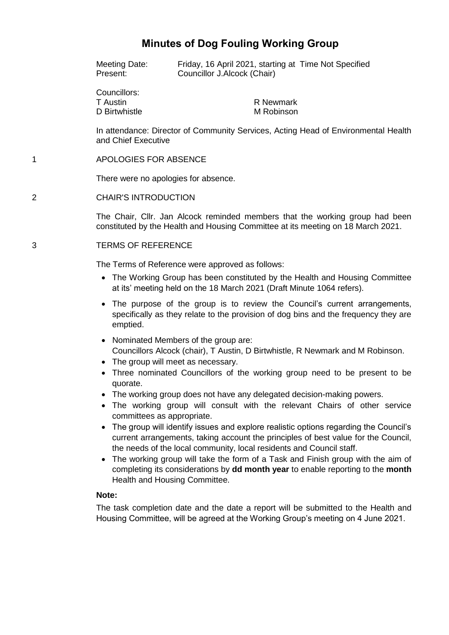# **Minutes of Dog Fouling Working Group**

Meeting Date: Friday, 16 April 2021, starting at Time Not Specified Present: Councillor J.Alcock (Chair)

Councillors: T Austin D Birtwhistle

R Newmark M Robinson

In attendance: Director of Community Services, Acting Head of Environmental Health and Chief Executive

## 1 APOLOGIES FOR ABSENCE

There were no apologies for absence.

## 2 CHAIR'S INTRODUCTION

The Chair, Cllr. Jan Alcock reminded members that the working group had been constituted by the Health and Housing Committee at its meeting on 18 March 2021.

## 3 TERMS OF REFERENCE

The Terms of Reference were approved as follows:

- The Working Group has been constituted by the Health and Housing Committee at its' meeting held on the 18 March 2021 (Draft Minute 1064 refers).
- The purpose of the group is to review the Council's current arrangements, specifically as they relate to the provision of dog bins and the frequency they are emptied.
- Nominated Members of the group are: Councillors Alcock (chair), T Austin, D Birtwhistle, R Newmark and M Robinson.
- The group will meet as necessary.
- Three nominated Councillors of the working group need to be present to be quorate.
- The working group does not have any delegated decision-making powers.
- The working group will consult with the relevant Chairs of other service committees as appropriate.
- The group will identify issues and explore realistic options regarding the Council's current arrangements, taking account the principles of best value for the Council, the needs of the local community, local residents and Council staff.
- The working group will take the form of a Task and Finish group with the aim of completing its considerations by **dd month year** to enable reporting to the **month** Health and Housing Committee.

### **Note:**

The task completion date and the date a report will be submitted to the Health and Housing Committee, will be agreed at the Working Group's meeting on 4 June 2021.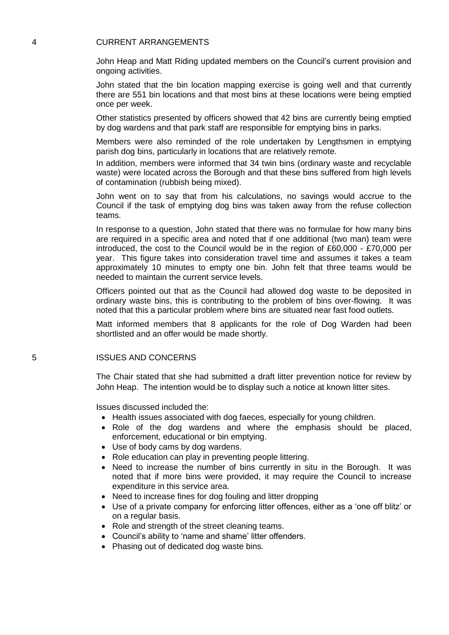### 4 CURRENT ARRANGEMENTS

John Heap and Matt Riding updated members on the Council's current provision and ongoing activities.

John stated that the bin location mapping exercise is going well and that currently there are 551 bin locations and that most bins at these locations were being emptied once per week.

Other statistics presented by officers showed that 42 bins are currently being emptied by dog wardens and that park staff are responsible for emptying bins in parks.

Members were also reminded of the role undertaken by Lengthsmen in emptying parish dog bins, particularly in locations that are relatively remote.

In addition, members were informed that 34 twin bins (ordinary waste and recyclable waste) were located across the Borough and that these bins suffered from high levels of contamination (rubbish being mixed).

John went on to say that from his calculations, no savings would accrue to the Council if the task of emptying dog bins was taken away from the refuse collection teams.

In response to a question, John stated that there was no formulae for how many bins are required in a specific area and noted that if one additional (two man) team were introduced, the cost to the Council would be in the region of £60,000 - £70,000 per year. This figure takes into consideration travel time and assumes it takes a team approximately 10 minutes to empty one bin. John felt that three teams would be needed to maintain the current service levels.

Officers pointed out that as the Council had allowed dog waste to be deposited in ordinary waste bins, this is contributing to the problem of bins over-flowing. It was noted that this a particular problem where bins are situated near fast food outlets.

Matt informed members that 8 applicants for the role of Dog Warden had been shortlisted and an offer would be made shortly.

#### 5 ISSUES AND CONCERNS

The Chair stated that she had submitted a draft litter prevention notice for review by John Heap. The intention would be to display such a notice at known litter sites.

Issues discussed included the:

- Health issues associated with dog faeces, especially for young children.
- Role of the dog wardens and where the emphasis should be placed, enforcement, educational or bin emptying.
- Use of body cams by dog wardens.
- Role education can play in preventing people littering.
- Need to increase the number of bins currently in situ in the Borough. It was noted that if more bins were provided, it may require the Council to increase expenditure in this service area.
- Need to increase fines for dog fouling and litter dropping
- Use of a private company for enforcing litter offences, either as a 'one off blitz' or on a regular basis.
- Role and strength of the street cleaning teams.
- Council's ability to 'name and shame' litter offenders.
- Phasing out of dedicated dog waste bins.